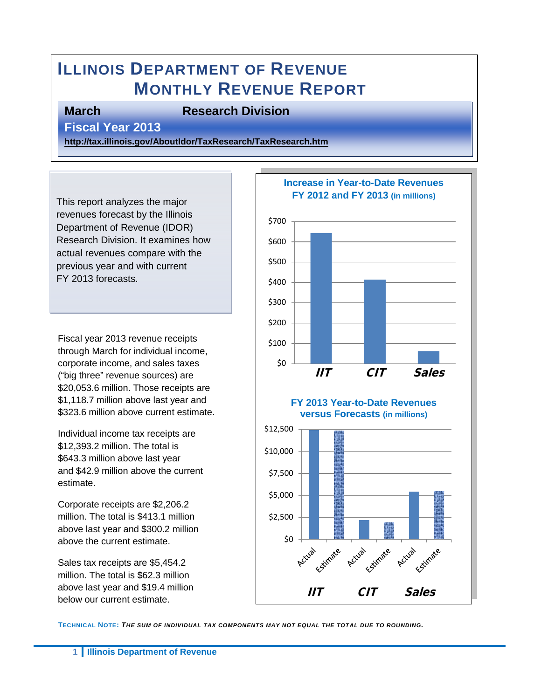# **ILLINOIS DEPARTMENT OF REVENUE MONTHLY REVENUE REPORT**

#### **March Research Division**

**Fiscal Year 2013** 

**<http://tax.illinois.gov/AboutIdor/TaxResearch/TaxResearch.htm>**

This report analyzes the major revenues forecast by the Illinois Department of Revenue (IDOR) Research Division. It examines how actual revenues compare with the previous year and with current FY 2013 forecasts.

Fiscal year 2013 revenue receipts through March for individual income, corporate income, and sales taxes ("big three" revenue sources) are \$20,053.6 million. Those receipts are \$1,118.7 million above last year and \$323.6 million above current estimate.

Individual income tax receipts are \$12,393.2 million. The total is \$643.3 million above last year and \$42.9 million above the current estimate.

Corporate receipts are \$2,206.2 million. The total is \$413.1 million above last year and \$300.2 million above the current estimate.

Sales tax receipts are \$5,454.2 million. The total is \$62.3 million above last year and \$19.4 million below our current estimate.



**TECHNICAL NOTE:** *THE SUM OF INDIVIDUAL TAX COMPONENTS MAY NOT EQUAL THE TOTAL DUE TO ROUNDING.*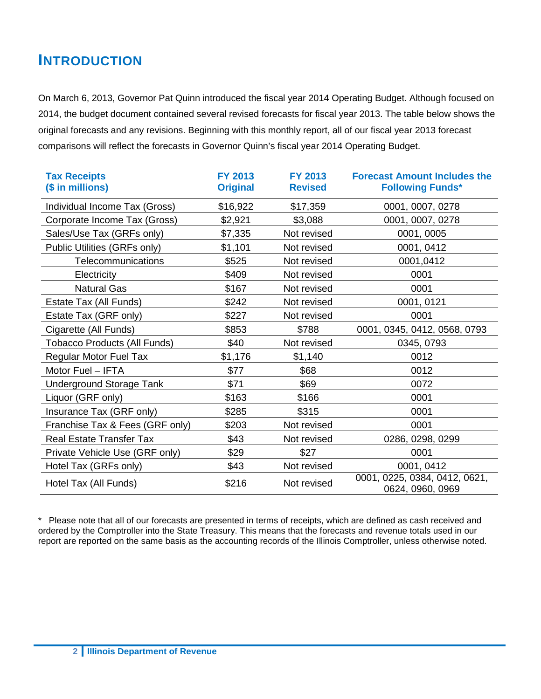## **INTRODUCTION**

On March 6, 2013, Governor Pat Quinn introduced the fiscal year 2014 Operating Budget. Although focused on 2014, the budget document contained several revised forecasts for fiscal year 2013. The table below shows the original forecasts and any revisions. Beginning with this monthly report, all of our fiscal year 2013 forecast comparisons will reflect the forecasts in Governor Quinn's fiscal year 2014 Operating Budget.

| <b>Tax Receipts</b><br>(\$ in millions) | <b>FY 2013</b><br><b>Original</b> | <b>FY 2013</b><br><b>Revised</b> | <b>Forecast Amount Includes the</b><br><b>Following Funds*</b> |
|-----------------------------------------|-----------------------------------|----------------------------------|----------------------------------------------------------------|
| Individual Income Tax (Gross)           | \$16,922                          | \$17,359                         | 0001, 0007, 0278                                               |
| Corporate Income Tax (Gross)            | \$2,921                           | \$3,088                          | 0001, 0007, 0278                                               |
| Sales/Use Tax (GRFs only)               | \$7,335                           | Not revised                      | 0001, 0005                                                     |
| Public Utilities (GRFs only)            | \$1,101                           | Not revised                      | 0001, 0412                                                     |
| Telecommunications                      | \$525                             | Not revised                      | 0001,0412                                                      |
| Electricity                             | \$409                             | Not revised                      | 0001                                                           |
| <b>Natural Gas</b>                      | \$167                             | Not revised                      | 0001                                                           |
| Estate Tax (All Funds)                  | \$242                             | Not revised                      | 0001, 0121                                                     |
| Estate Tax (GRF only)                   | \$227                             | Not revised                      | 0001                                                           |
| Cigarette (All Funds)                   | \$853                             | \$788                            | 0001, 0345, 0412, 0568, 0793                                   |
| <b>Tobacco Products (All Funds)</b>     | \$40                              | Not revised                      | 0345, 0793                                                     |
| <b>Regular Motor Fuel Tax</b>           | \$1,176                           | \$1,140                          | 0012                                                           |
| Motor Fuel - IFTA                       | \$77                              | \$68                             | 0012                                                           |
| Underground Storage Tank                | \$71                              | \$69                             | 0072                                                           |
| Liquor (GRF only)                       | \$163                             | \$166                            | 0001                                                           |
| Insurance Tax (GRF only)                | \$285                             | \$315                            | 0001                                                           |
| Franchise Tax & Fees (GRF only)         | \$203                             | Not revised                      | 0001                                                           |
| <b>Real Estate Transfer Tax</b>         | \$43                              | Not revised                      | 0286, 0298, 0299                                               |
| Private Vehicle Use (GRF only)          | \$29                              | \$27                             | 0001                                                           |
| Hotel Tax (GRFs only)                   | \$43                              | Not revised                      | 0001, 0412                                                     |
| Hotel Tax (All Funds)                   | \$216                             | Not revised                      | 0001, 0225, 0384, 0412, 0621,<br>0624, 0960, 0969              |

\* Please note that all of our forecasts are presented in terms of receipts, which are defined as cash received and ordered by the Comptroller into the State Treasury. This means that the forecasts and revenue totals used in our report are reported on the same basis as the accounting records of the Illinois Comptroller, unless otherwise noted.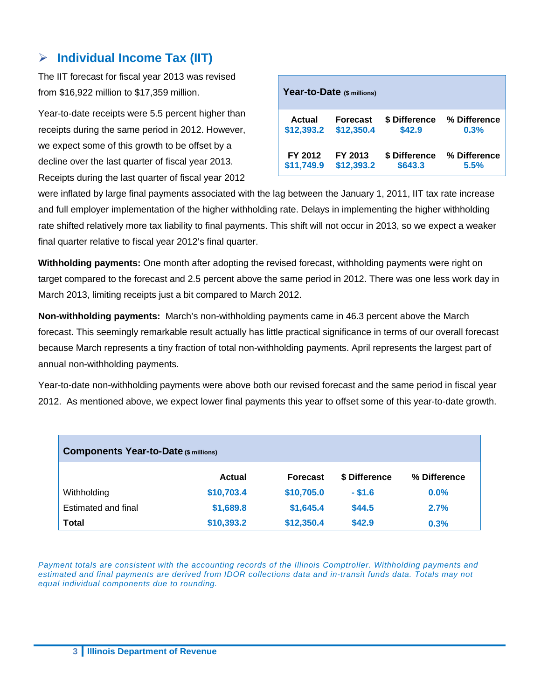#### **Individual Income Tax (IIT)**

The IIT forecast for fiscal year 2013 was revised from \$16,922 million to \$17,359 million.

Year-to-date receipts were 5.5 percent higher than receipts during the same period in 2012. However, we expect some of this growth to be offset by a decline over the last quarter of fiscal year 2013. Receipts during the last quarter of fiscal year 2012

|               | Year-to-Date (\$ millions) |               |              |
|---------------|----------------------------|---------------|--------------|
| <b>Actual</b> | <b>Forecast</b>            | \$ Difference | % Difference |
| \$12,393.2    | \$12,350.4                 | \$42.9        | 0.3%         |
| FY 2012       | FY 2013                    | \$ Difference | % Difference |
| \$11,749.9    | \$12,393.2                 | \$643.3       | 5.5%         |

were inflated by large final payments associated with the lag between the January 1, 2011, IIT tax rate increase and full employer implementation of the higher withholding rate. Delays in implementing the higher withholding rate shifted relatively more tax liability to final payments. This shift will not occur in 2013, so we expect a weaker final quarter relative to fiscal year 2012's final quarter.

**Withholding payments:** One month after adopting the revised forecast, withholding payments were right on target compared to the forecast and 2.5 percent above the same period in 2012. There was one less work day in March 2013, limiting receipts just a bit compared to March 2012.

**Non-withholding payments:** March's non-withholding payments came in 46.3 percent above the March forecast. This seemingly remarkable result actually has little practical significance in terms of our overall forecast because March represents a tiny fraction of total non-withholding payments. April represents the largest part of annual non-withholding payments.

Year-to-date non-withholding payments were above both our revised forecast and the same period in fiscal year 2012. As mentioned above, we expect lower final payments this year to offset some of this year-to-date growth.

| <b>Components Year-to-Date (\$ millions)</b> |            |                 |               |              |  |
|----------------------------------------------|------------|-----------------|---------------|--------------|--|
|                                              | Actual     | <b>Forecast</b> | \$ Difference | % Difference |  |
| Withholding                                  | \$10,703.4 | \$10,705.0      | $-$ \$1.6     | $0.0\%$      |  |
| Estimated and final                          | \$1,689.8  | \$1,645.4       | \$44.5        | 2.7%         |  |
| <b>Total</b>                                 | \$10,393.2 | \$12,350.4      | \$42.9        | 0.3%         |  |

*Payment totals are consistent with the accounting records of the Illinois Comptroller. Withholding payments and estimated and final payments are derived from IDOR collections data and in-transit funds data. Totals may not equal individual components due to rounding.*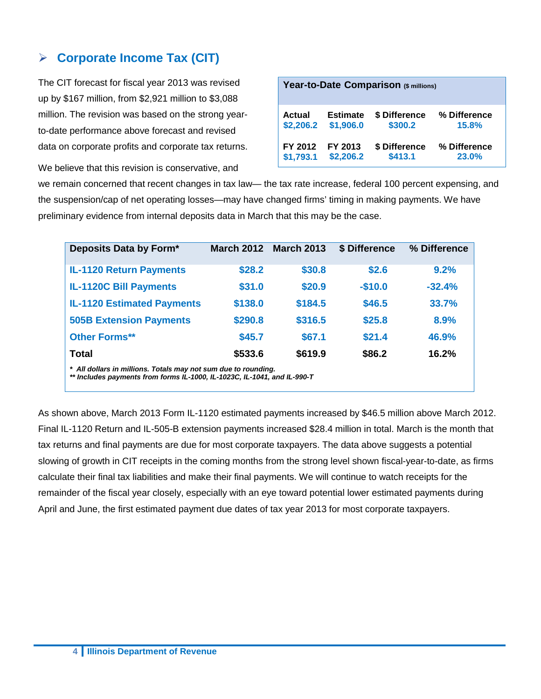#### **Corporate Income Tax (CIT)**

The CIT forecast for fiscal year 2013 was revised up by \$167 million, from \$2,921 million to \$3,088 million. The revision was based on the strong yearto-date performance above forecast and revised data on corporate profits and corporate tax returns.

We believe that this revision is conservative, and

|               | Year-to-Date Comparison (\$ millions) |               |              |  |  |
|---------------|---------------------------------------|---------------|--------------|--|--|
| <b>Actual</b> | <b>Estimate</b>                       | \$ Difference | % Difference |  |  |
| \$2,206.2     | \$1,906.0                             | \$300.2       | 15.8%        |  |  |
| FY 2012       | FY 2013                               | \$ Difference | % Difference |  |  |
| \$1,793.1     | \$2,206.2                             | \$413.1       | 23.0%        |  |  |

we remain concerned that recent changes in tax law— the tax rate increase, federal 100 percent expensing, and the suspension/cap of net operating losses—may have changed firms' timing in making payments. We have preliminary evidence from internal deposits data in March that this may be the case.

| Deposits Data by Form*                                                                                                                     |         | <b>March 2012 March 2013</b> | \$ Difference | % Difference |
|--------------------------------------------------------------------------------------------------------------------------------------------|---------|------------------------------|---------------|--------------|
| <b>IL-1120 Return Payments</b>                                                                                                             | \$28.2  | \$30.8                       | \$2.6         | 9.2%         |
| <b>IL-1120C Bill Payments</b>                                                                                                              | \$31.0  | \$20.9                       | $-$10.0$      | $-32.4%$     |
| <b>IL-1120 Estimated Payments</b>                                                                                                          | \$138.0 | \$184.5                      | \$46.5        | 33.7%        |
| <b>505B Extension Payments</b>                                                                                                             | \$290.8 | \$316.5                      | \$25.8        | 8.9%         |
| <b>Other Forms**</b>                                                                                                                       | \$45.7  | \$67.1                       | \$21.4        | 46.9%        |
| Total                                                                                                                                      | \$533.6 | \$619.9                      | \$86.2        | 16.2%        |
| * All dollars in millions. Totals may not sum due to rounding.<br>** Includes payments from forms IL-1000, IL-1023C, IL-1041, and IL-990-T |         |                              |               |              |

As shown above, March 2013 Form IL-1120 estimated payments increased by \$46.5 million above March 2012. Final IL-1120 Return and IL-505-B extension payments increased \$28.4 million in total. March is the month that tax returns and final payments are due for most corporate taxpayers. The data above suggests a potential slowing of growth in CIT receipts in the coming months from the strong level shown fiscal-year-to-date, as firms calculate their final tax liabilities and make their final payments. We will continue to watch receipts for the remainder of the fiscal year closely, especially with an eye toward potential lower estimated payments during April and June, the first estimated payment due dates of tax year 2013 for most corporate taxpayers.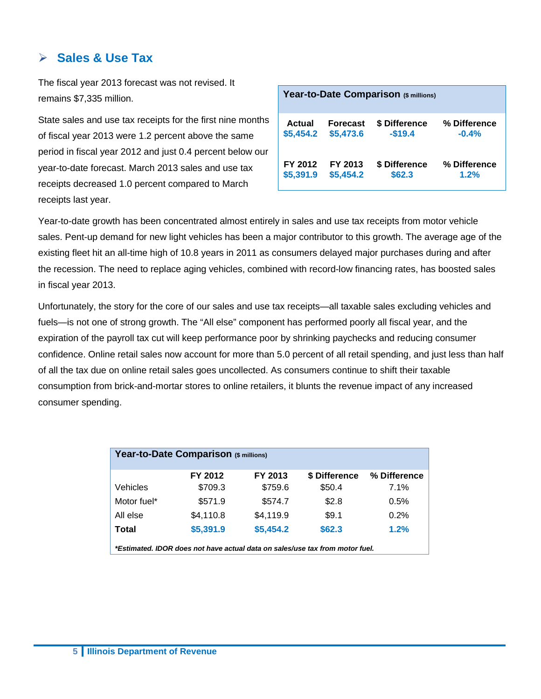#### **Sales & Use Tax**

The fiscal year 2013 forecast was not revised. It remains \$7,335 million.

State sales and use tax receipts for the first nine months of fiscal year 2013 were 1.2 percent above the same period in fiscal year 2012 and just 0.4 percent below our year-to-date forecast. March 2013 sales and use tax receipts decreased 1.0 percent compared to March receipts last year.

|           |                 | Year-to-Date Comparison (\$ millions) |              |
|-----------|-----------------|---------------------------------------|--------------|
| Actual    | <b>Forecast</b> | \$ Difference                         | % Difference |
| \$5,454.2 | \$5,473.6       | $-$19.4$                              | $-0.4%$      |
| FY 2012   | FY 2013         | \$ Difference                         | % Difference |
| \$5,391.9 | \$5,454.2       | \$62.3                                | 1.2%         |

Year-to-date growth has been concentrated almost entirely in sales and use tax receipts from motor vehicle sales. Pent-up demand for new light vehicles has been a major contributor to this growth. The average age of the existing fleet hit an all-time high of 10.8 years in 2011 as consumers delayed major purchases during and after the recession. The need to replace aging vehicles, combined with record-low financing rates, has boosted sales in fiscal year 2013.

Unfortunately, the story for the core of our sales and use tax receipts—all taxable sales excluding vehicles and fuels—is not one of strong growth. The "All else" component has performed poorly all fiscal year, and the expiration of the payroll tax cut will keep performance poor by shrinking paychecks and reducing consumer confidence. Online retail sales now account for more than 5.0 percent of all retail spending, and just less than half of all the tax due on online retail sales goes uncollected. As consumers continue to shift their taxable consumption from brick-and-mortar stores to online retailers, it blunts the revenue impact of any increased consumer spending.

|                                                                              | Year-to-Date Comparison (\$ millions) |           |               |              |  |  |
|------------------------------------------------------------------------------|---------------------------------------|-----------|---------------|--------------|--|--|
|                                                                              | FY 2012                               | FY 2013   | \$ Difference | % Difference |  |  |
| Vehicles                                                                     | \$709.3                               | \$759.6   | \$50.4        | 7.1%         |  |  |
| Motor fuel*                                                                  | \$571.9                               | \$574.7   | \$2.8         | 0.5%         |  |  |
| All else                                                                     | \$4,110.8                             | \$4,119.9 | \$9.1         | 0.2%         |  |  |
| Total                                                                        | \$5,391.9                             | \$5,454.2 | \$62.3        | 1.2%         |  |  |
| *Estimated. IDOR does not have actual data on sales/use tax from motor fuel. |                                       |           |               |              |  |  |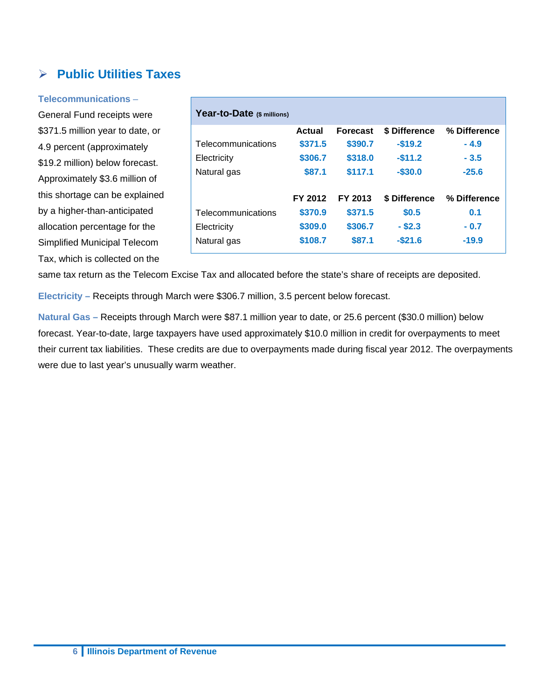### **Public Utilities Taxes**

#### **Telecommunications** –

General Fund receipts were \$371.5 million year to date, or 4.9 percent (approximately \$19.2 million) below forecast. Approximately \$3.6 million of this shortage can be explained by a higher-than-anticipated allocation percentage for the Simplified Municipal Telecom Tax, which is collected on the

| Year-to-Date (\$ millions) |         |                 |               |              |
|----------------------------|---------|-----------------|---------------|--------------|
|                            | Actual  | <b>Forecast</b> | \$ Difference | % Difference |
| Telecommunications         | \$371.5 | \$390.7         | $-$19.2$      | $-4.9$       |
| Electricity                | \$306.7 | \$318.0         | $-$11.2$      | $-3.5$       |
| Natural gas                | \$87.1  | \$117.1         | $-$30.0$      | $-25.6$      |
|                            | FY 2012 | FY 2013         | \$ Difference | % Difference |
| Telecommunications         | \$370.9 | \$371.5         | \$0.5         | 0.1          |
| Electricity                | \$309.0 | \$306.7         | $-$ \$2.3     | $-0.7$       |
| Natural gas                | \$108.7 | \$87.1          | $-$21.6$      | $-19.9$      |

same tax return as the Telecom Excise Tax and allocated before the state's share of receipts are deposited.

**Electricity –** Receipts through March were \$306.7 million, 3.5 percent below forecast.

**Natural Gas –** Receipts through March were \$87.1 million year to date, or 25.6 percent (\$30.0 million) below forecast. Year-to-date, large taxpayers have used approximately \$10.0 million in credit for overpayments to meet their current tax liabilities. These credits are due to overpayments made during fiscal year 2012. The overpayments were due to last year's unusually warm weather.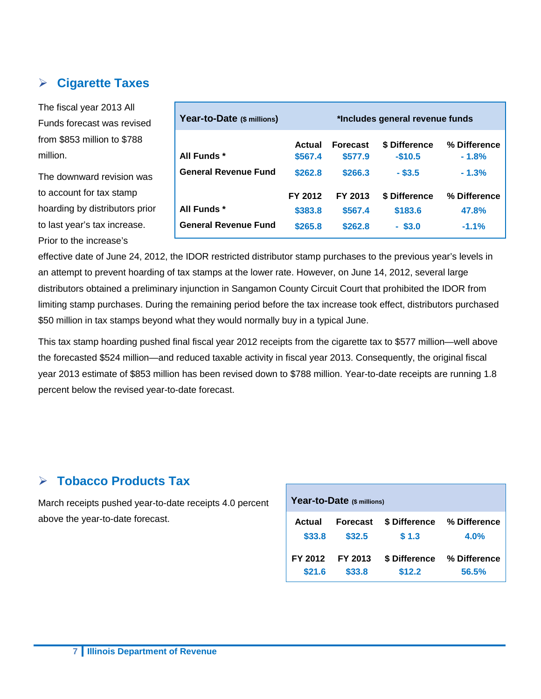## **Cigarette Taxes**

The fiscal year 2013 All Funds forecast was revised from \$853 million to \$788 million.

The downward revision was to account for tax stamp hoarding by distributors prior to last year's tax increase. Prior to the increase's

| Year-to-Date (\$ millions)                 |                               | *Includes general revenue funds |                                       |                                  |  |
|--------------------------------------------|-------------------------------|---------------------------------|---------------------------------------|----------------------------------|--|
| All Funds *                                | Actual<br>\$567.4             | <b>Forecast</b><br>\$577.9      | \$ Difference<br>$-$10.5$             | % Difference<br>$-1.8%$          |  |
| <b>General Revenue Fund</b>                | \$262.8                       | \$266.3                         | $-$ \$3.5                             | $-1.3%$                          |  |
| All Funds *<br><b>General Revenue Fund</b> | FY 2012<br>\$383.8<br>\$265.8 | FY 2013<br>\$567.4<br>\$262.8   | \$ Difference<br>\$183.6<br>$-$ \$3.0 | % Difference<br>47.8%<br>$-1.1%$ |  |

effective date of June 24, 2012, the IDOR restricted distributor stamp purchases to the previous year's levels in an attempt to prevent hoarding of tax stamps at the lower rate. However, on June 14, 2012, several large distributors obtained a preliminary injunction in Sangamon County Circuit Court that prohibited the IDOR from limiting stamp purchases. During the remaining period before the tax increase took effect, distributors purchased \$50 million in tax stamps beyond what they would normally buy in a typical June.

This tax stamp hoarding pushed final fiscal year 2012 receipts from the cigarette tax to \$577 million—well above the forecasted \$524 million—and reduced taxable activity in fiscal year 2013. Consequently, the original fiscal year 2013 estimate of \$853 million has been revised down to \$788 million. Year-to-date receipts are running 1.8 percent below the revised year-to-date forecast.

#### **Tobacco Products Tax**

March receipts pushed year-to-date receipts 4.0 percent above the year-to-date forecast.

|                   | Year-to-Date (\$ millions) |                         |                       |
|-------------------|----------------------------|-------------------------|-----------------------|
| Actual            | <b>Forecast</b>            | \$ Difference           | % Difference          |
| \$33.8            | \$32.5                     | \$1.3                   | 4.0%                  |
| FY 2012<br>\$21.6 | FY 2013<br>\$33.8          | \$ Difference<br>\$12.2 | % Difference<br>56.5% |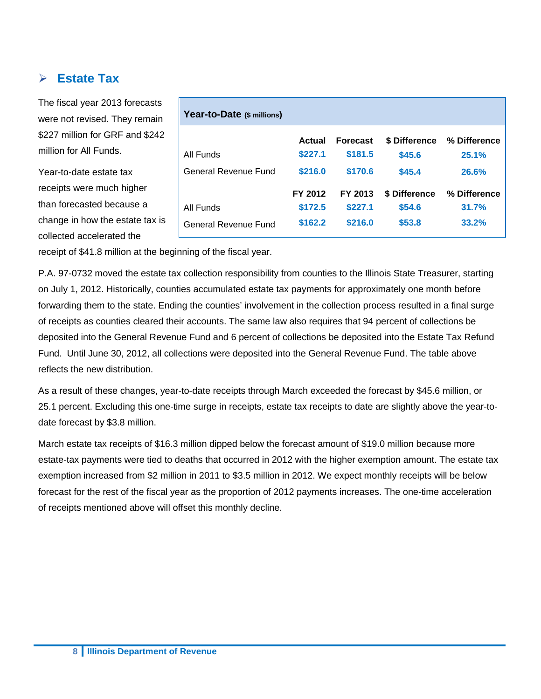#### **Estate Tax**

The fiscal year 2013 forecasts were not revised. They remain \$227 million for GRF and \$242 million for All Funds.

Year-to-date estate tax receipts were much higher than forecasted because a change in how the estate tax is collected accelerated the

| Year-to-Date (\$ millions) |         |                 |               |              |
|----------------------------|---------|-----------------|---------------|--------------|
|                            | Actual  | <b>Forecast</b> | \$ Difference | % Difference |
| All Funds                  | \$227.1 | \$181.5         | \$45.6        | 25.1%        |
| General Revenue Fund       | \$216.0 | \$170.6         | \$45.4        | 26.6%        |
|                            | FY 2012 | FY 2013         | \$ Difference | % Difference |
| All Funds                  | \$172.5 | \$227.1         | \$54.6        | 31.7%        |
| General Revenue Fund       | \$162.2 | \$216.0         | \$53.8        | 33.2%        |

receipt of \$41.8 million at the beginning of the fiscal year.

P.A. 97-0732 moved the estate tax collection responsibility from counties to the Illinois State Treasurer, starting on July 1, 2012. Historically, counties accumulated estate tax payments for approximately one month before forwarding them to the state. Ending the counties' involvement in the collection process resulted in a final surge of receipts as counties cleared their accounts. The same law also requires that 94 percent of collections be deposited into the General Revenue Fund and 6 percent of collections be deposited into the Estate Tax Refund Fund. Until June 30, 2012, all collections were deposited into the General Revenue Fund. The table above reflects the new distribution.

As a result of these changes, year-to-date receipts through March exceeded the forecast by \$45.6 million, or 25.1 percent. Excluding this one-time surge in receipts, estate tax receipts to date are slightly above the year-todate forecast by \$3.8 million.

March estate tax receipts of \$16.3 million dipped below the forecast amount of \$19.0 million because more estate-tax payments were tied to deaths that occurred in 2012 with the higher exemption amount. The estate tax exemption increased from \$2 million in 2011 to \$3.5 million in 2012. We expect monthly receipts will be below forecast for the rest of the fiscal year as the proportion of 2012 payments increases. The one-time acceleration of receipts mentioned above will offset this monthly decline.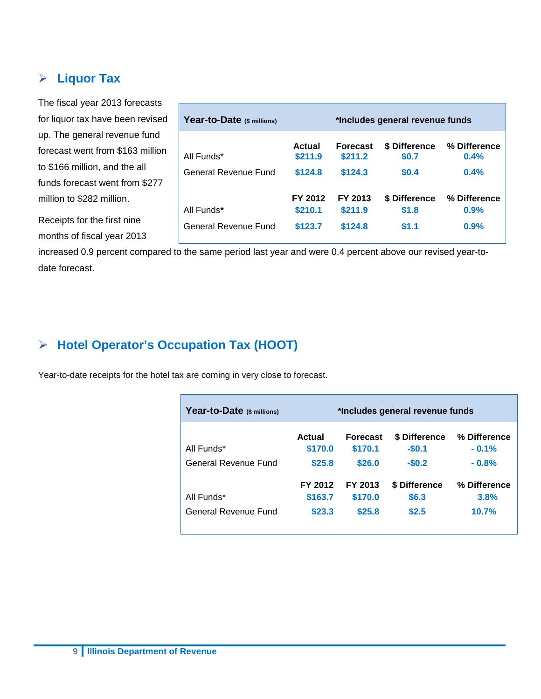#### **Liquor Tax**

The fiscal year 2013 forecasts for liquor tax have been revised up. The general revenue fund forecast went from \$163 million to \$166 million, and the all funds forecast went from \$277 million to \$282 million.

Receipts for the first nine months of fiscal year 2013

| Year-to-Date (\$ millions) | *Includes general revenue funds |                            |                        |                      |
|----------------------------|---------------------------------|----------------------------|------------------------|----------------------|
| All Funds*                 | Actual<br>\$211.9               | <b>Forecast</b><br>\$211.2 | \$ Difference<br>\$0.7 | % Difference<br>0.4% |
| General Revenue Fund       | \$124.8                         | \$124.3                    | \$0.4                  | 0.4%                 |
| All Funds*                 | FY 2012<br>\$210.1              | FY 2013<br>\$211.9         | \$ Difference<br>\$1.8 | % Difference<br>0.9% |
| General Revenue Fund       | \$123.7                         | \$124.8                    | \$1.1                  | 0.9%                 |

increased 0.9 percent compared to the same period last year and were 0.4 percent above our revised year-todate forecast.

#### **Hotel Operator's Occupation Tax (HOOT)**

Year-to-date receipts for the hotel tax are coming in very close to forecast.

| Year-to-Date (\$ millions)         | *Includes general revenue funds |                                      |                                     |                                    |  |  |  |  |  |
|------------------------------------|---------------------------------|--------------------------------------|-------------------------------------|------------------------------------|--|--|--|--|--|
| All Funds*<br>General Revenue Fund | Actual<br>\$170.0<br>\$25.8     | <b>Forecast</b><br>\$170.1<br>\$26.0 | \$ Difference<br>$-$0.1$<br>$-$0.2$ | % Difference<br>$-0.1%$<br>$-0.8%$ |  |  |  |  |  |
| All Funds*<br>General Revenue Fund | FY 2012<br>\$163.7<br>\$23.3    | FY 2013<br>\$170.0<br>\$25.8         | \$ Difference<br>\$6.3<br>\$2.5     | % Difference<br>3.8%<br>10.7%      |  |  |  |  |  |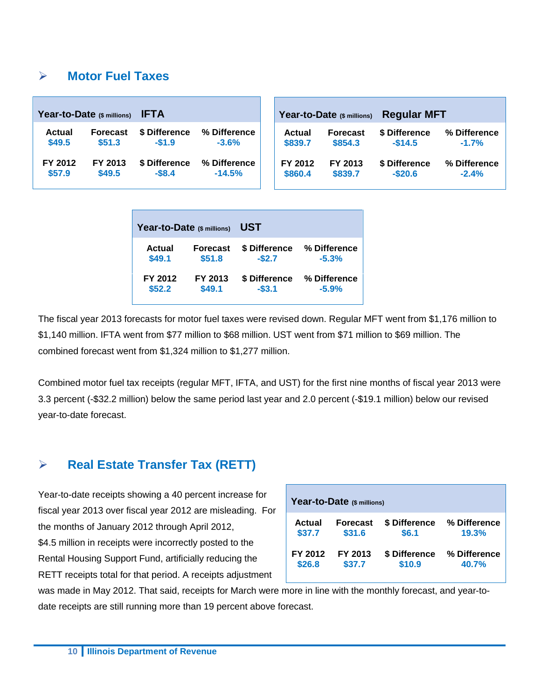#### **Motor Fuel Taxes**

| Year-to-Date (\$ millions) |                 | <b>IFTA</b>   |              |  |               | Year-to-Date (\$ millions) | <b>Regular MFT</b> |              |  |  |
|----------------------------|-----------------|---------------|--------------|--|---------------|----------------------------|--------------------|--------------|--|--|
| <b>Actual</b>              | <b>Forecast</b> | \$ Difference | % Difference |  | <b>Actual</b> | <b>Forecast</b>            | \$ Difference      | % Difference |  |  |
| \$49.5                     | \$51.3          | $-$1.9$       | $-3.6%$      |  | \$839.7       | \$854.3                    | $-$14.5$           | $-1.7%$      |  |  |
| FY 2012                    | FY 2013         | \$ Difference | % Difference |  | FY 2012       | FY 2013                    | \$ Difference      | % Difference |  |  |
| \$57.9                     | \$49.5          | $-$ \$8.4     | $-14.5%$     |  | \$860.4       | \$839.7                    | $-$20.6$           | $-2.4%$      |  |  |

| Year-to-Date (\$ millions) |                 | UST           |              |  |  |  |  |
|----------------------------|-----------------|---------------|--------------|--|--|--|--|
| Actual                     | <b>Forecast</b> | \$ Difference | % Difference |  |  |  |  |
| \$49.1                     | \$51.8          | $-$2.7$       | $-5.3%$      |  |  |  |  |
| FY 2012                    | FY 2013         | \$ Difference | % Difference |  |  |  |  |
| \$52.2                     | \$49.1          | $-$3.1$       | $-5.9%$      |  |  |  |  |

The fiscal year 2013 forecasts for motor fuel taxes were revised down. Regular MFT went from \$1,176 million to \$1,140 million. IFTA went from \$77 million to \$68 million. UST went from \$71 million to \$69 million. The combined forecast went from \$1,324 million to \$1,277 million.

Combined motor fuel tax receipts (regular MFT, IFTA, and UST) for the first nine months of fiscal year 2013 were 3.3 percent (-\$32.2 million) below the same period last year and 2.0 percent (-\$19.1 million) below our revised year-to-date forecast.

#### **Real Estate Transfer Tax (RETT)**

Year-to-date receipts showing a 40 percent increase for fiscal year 2013 over fiscal year 2012 are misleading. For the months of January 2012 through April 2012, \$4.5 million in receipts were incorrectly posted to the Rental Housing Support Fund, artificially reducing the RETT receipts total for that period. A receipts adjustment

| Year-to-Date (\$ millions) |                 |               |              |  |  |  |  |  |  |  |
|----------------------------|-----------------|---------------|--------------|--|--|--|--|--|--|--|
| <b>Actual</b>              | <b>Forecast</b> | \$ Difference | % Difference |  |  |  |  |  |  |  |
| \$37.7                     | \$31.6          | \$6.1         | 19.3%        |  |  |  |  |  |  |  |
| FY 2012                    | FY 2013         | \$ Difference | % Difference |  |  |  |  |  |  |  |
| \$26.8                     | \$37.7          | \$10.9        | 40.7%        |  |  |  |  |  |  |  |

was made in May 2012. That said, receipts for March were more in line with the monthly forecast, and year-todate receipts are still running more than 19 percent above forecast.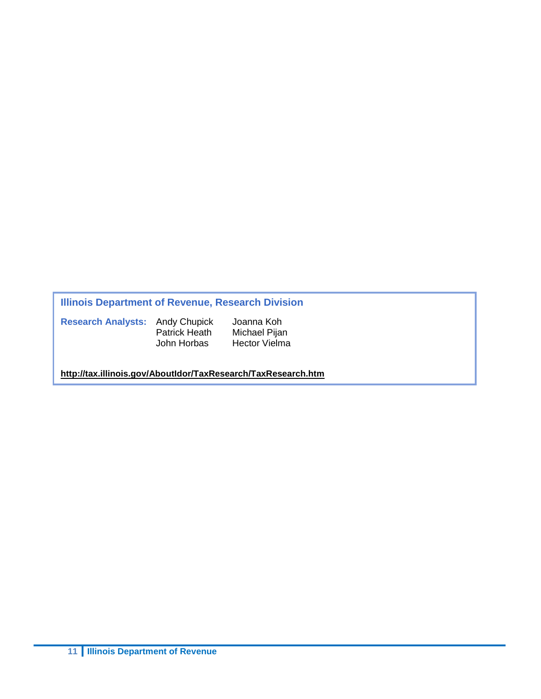#### **Illinois Department of Revenue, Research Division**

**Research Analysts:** Andy Chupick Joanna Koh

Patrick Heath<br>John Horbas

Hector Vielma

**<http://tax.illinois.gov/AboutIdor/TaxResearch/TaxResearch.htm>**